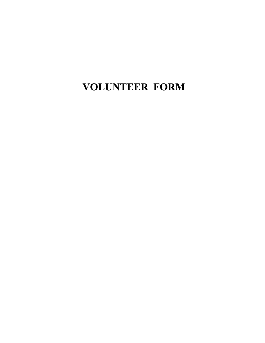**VOLUNTEER FORM**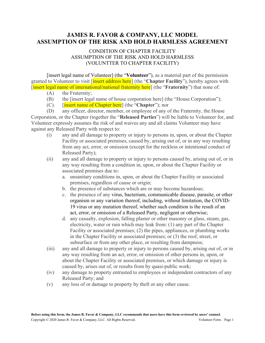## **JAMES R. FAVOR & COMPANY, LLC MODEL ASSUMPTION OF THE RISK AND HOLD HARMLESS AGREEMENT**

## CONDITION OF CHAPTER FACILITY ASSUMPTION OF THE RISK AND HOLD HARMLESS (VOLUNTTER TO CHAPTER FACILITY)

[insert legal name of Volunteer] (the "**Volunteer**"), as a material part of the permission granted to Volunteer to visit [insert address here] (the "**Chapter Facility**"), hereby agrees with [insert legal name of international/national fraternity here] (the "**Fraternity**") that none of:

- (A) the Fraternity;
- (B) the [insert legal name of house corporation here] (the "House Corporation");
- (C). [insert name of Chapter here] (the "**Chapter**"); nor

(D) any officer, director, member, or employee of any of the Fraternity, the House Corporation, or the Chapter (together the "**Released Parties**") will be liable to Volunteer for, and Volunteer expressly assumes the risk of and waives any and all claims Volunteer may have against any Released Party with respect to:

- (i) any and all damage to property or injury to persons in, upon, or about the Chapter Facility or associated premises, caused by, arising out of, or in any way resulting from any act, error, or omission (except for the reckless or intentional conduct of Released Party);
- (ii) any and all damage to property or injury to persons caused by, arising out of, or in any way resulting from a condition in, upon, or about the Chapter Facility or associated premises due to:
	- a. unsanitary conditions in, upon, or about the Chapter Facility or associated premises, regardless of cause or origin;
	- b. the presence of substances which are or may become hazardous;
	- c. the presence of any virus, bacterium, communicable disease, parasite, or other organism or any variation thereof, including, without limitation, the COVID-19 virus or any mutation thereof, whether such condition is the result of an act, error, or omission of a Released Party, negligent or otherwise;
	- d. any casualty, explosion, falling plaster or other masonry or glass, steam, gas, electricity, water or rain which may leak from: (1) any part of the Chapter Facility or associated premises; (2) the pipes, appliances, or plumbing works in the Chapter Facility or associated premises; or (3) the roof, street, or subsurface or from any other place, or resulting from dampness;
- (iii) any and all damage to property or injury to persons caused by, arising out of, or in any way resulting from an act, error, or omission of other persons in, upon, or about the Chapter Facility or associated premises, or which damage or injury is caused by, arises out of, or results from by quasi-public work;
- (iv) any damage to property entrusted to employees or independent contractors of any Released Party; and
- (v) any loss of or damage to property by theft or any other cause.